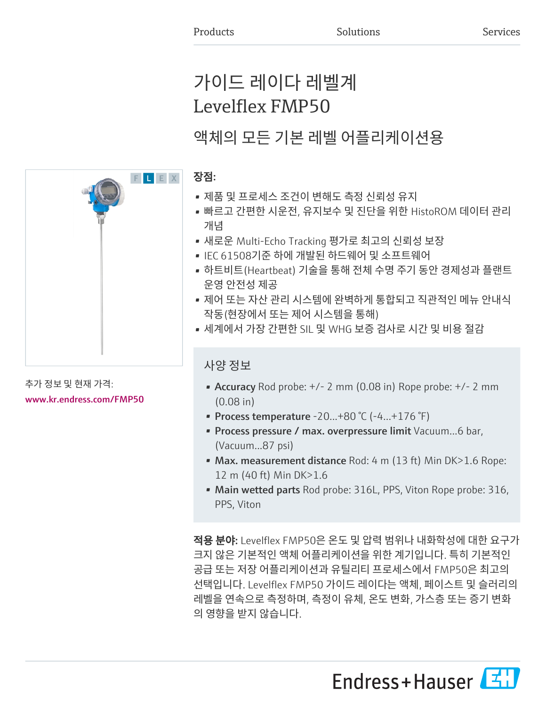# 가이드 레이다 레벨계 Levelflex FMP50

# 액체의 모든 기본 레벨 어플리케이션용

### 장점:

- 제품 및 프로세스 조건이 변해도 측정 신뢰성 유지
- 빠르고 간편한 시운전, 유지보수 및 진단을 위한 HistoROM 데이터 관리 개념
- 새로운 Multi-Echo Tracking 평가로 최고의 신뢰성 보장
- IEC 61508기준 하에 개발된 하드웨어 및 소프트웨어
- 하트비트(Heartbeat) 기술을 통해 전체 수명 주기 동안 경제성과 플랜트 운영 안전성 제공
- 제어 또는 자산 관리 시스템에 완벽하게 통합되고 직관적인 메뉴 안내식 작동(현장에서 또는 제어 시스템을 통해)
- 세계에서 가장 간편한 SIL 및 WHG 보증 검사로 시간 및 비용 절감

### 사양 정보

- Accuracy Rod probe:  $+/- 2$  mm (0.08 in) Rope probe:  $+/- 2$  mm (0.08 in)
- Process temperature  $-20...+80$  °C ( $-4...+176$  °F)
- Process pressure / max. overpressure limit Vacuum...6 bar, (Vacuum...87 psi)
- Max. measurement distance Rod: 4 m (13 ft) Min DK>1.6 Rope: 12 m (40 ft) Min DK>1.6
- Main wetted parts Rod probe: 316L, PPS, Viton Rope probe: 316, PPS, Viton

적용 분야: Levelflex FMP50은 온도 및 압력 범위나 내화학성에 대한 요구가 크지 않은 기본적인 액체 어플리케이션을 위한 계기입니다. 특히 기본적인 공급 또는 저장 어플리케이션과 유틸리티 프로세스에서 FMP50은 최고의 선택입니다. Levelflex FMP50 가이드 레이다는 액체, 페이스트 및 슬러리의 레벨을 연속으로 측정하며, 측정이 유체, 온도 변화, 가스층 또는 증기 변화 의 영향을 받지 않습니다.

Endress+Hauser



### 추가 정보 및 현재 가격: [www.kr.endress.com/FMP50](https://www.kr.endress.com/FMP50)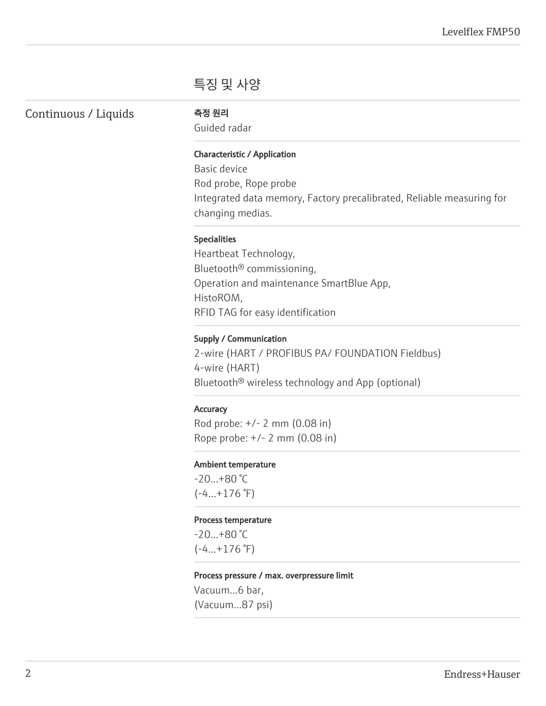## 특징 및 사양

Continuous / Liquids 측정 원리

Guided radar

### Characteristic / Application

Basic device Rod probe, Rope probe Integrated data memory, Factory precalibrated, Reliable measuring for changing medias.

#### Specialities

Heartbeat Technology, Bluetooth® commissioning, Operation and maintenance SmartBlue App, HistoROM, RFID TAG for easy identification

#### Supply / Communication

2-wire (HART / PROFIBUS PA/ FOUNDATION Fieldbus) 4-wire (HART) Bluetooth® wireless technology and App (optional)

#### **Accuracy**

Rod probe: +/- 2 mm (0.08 in) Rope probe: +/- 2 mm (0.08 in)

#### Ambient temperature

-20...+80 °C  $(-4...+176$  °F)

#### Process temperature

-20...+80 °C  $(-4...+176)$ °F)

#### Process pressure / max. overpressure limit

Vacuum...6 bar, (Vacuum...87 psi)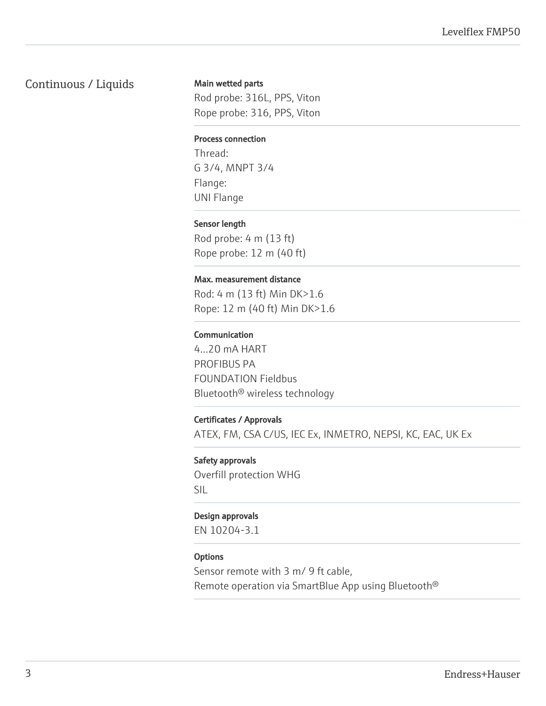### Continuous / Liquids

#### Main wetted parts

Rod probe: 316L, PPS, Viton Rope probe: 316, PPS, Viton

#### Process connection

Thread: G 3/4, MNPT 3/4 Flange: UNI Flange

#### Sensor length

Rod probe: 4 m (13 ft) Rope probe: 12 m (40 ft)

#### Max. measurement distance

Rod: 4 m (13 ft) Min DK>1.6 Rope: 12 m (40 ft) Min DK>1.6

#### Communication

4...20 mA HART PROFIBUS PA FOUNDATION Fieldbus Bluetooth® wireless technology

#### Certificates / Approvals

ATEX, FM, CSA C/US, IEC Ex, INMETRO, NEPSI, KC, EAC, UK Ex

#### Safety approvals

Overfill protection WHG SIL

#### Design approvals

EN 10204-3.1

#### **Options**

Sensor remote with 3 m/ 9 ft cable, Remote operation via SmartBlue App using Bluetooth®